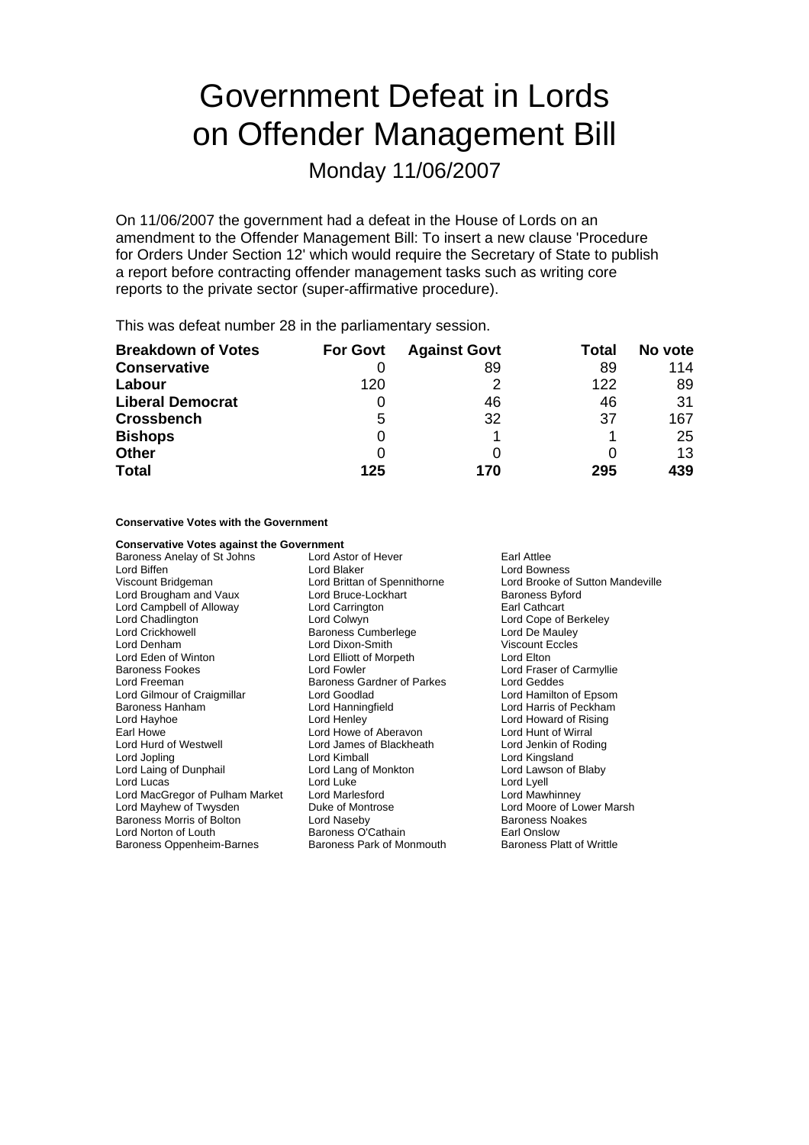# Government Defeat in Lords on Offender Management Bill

Monday 11/06/2007

On 11/06/2007 the government had a defeat in the House of Lords on an amendment to the Offender Management Bill: To insert a new clause 'Procedure for Orders Under Section 12' which would require the Secretary of State to publish a report before contracting offender management tasks such as writing core reports to the private sector (super-affirmative procedure).

This was defeat number 28 in the parliamentary session.

| <b>Breakdown of Votes</b> | <b>For Govt</b> | <b>Against Govt</b> | Total | No vote |
|---------------------------|-----------------|---------------------|-------|---------|
| <b>Conservative</b>       |                 | 89                  | 89    | 114     |
| Labour                    | 120             |                     | 122   | 89      |
| <b>Liberal Democrat</b>   | O               | 46                  | 46    | 31      |
| <b>Crossbench</b>         | 5               | 32                  | 37    | 167     |
| <b>Bishops</b>            | 0               |                     |       | 25      |
| <b>Other</b>              | 0               |                     |       | 13      |
| <b>Total</b>              | 125             | 170                 | 295   | 439     |

**Conservative Votes with the Government**

| <b>Conservative Votes against the Government</b> |                              |                                  |  |
|--------------------------------------------------|------------------------------|----------------------------------|--|
| Baroness Anelay of St Johns                      | Lord Astor of Hever          | Earl Attlee                      |  |
| Lord Biffen                                      | Lord Blaker                  | Lord Bowness                     |  |
| Viscount Bridgeman                               | Lord Brittan of Spennithorne | Lord Brooke of Sutton Mandeville |  |
| Lord Brougham and Vaux                           | Lord Bruce-Lockhart          | <b>Baroness Byford</b>           |  |
| Lord Campbell of Alloway                         | Lord Carrington              | Earl Cathcart                    |  |
| Lord Chadlington                                 | Lord Colwyn                  | Lord Cope of Berkeley            |  |
| Lord Crickhowell                                 | <b>Baroness Cumberlege</b>   | Lord De Mauley                   |  |
| Lord Denham                                      | Lord Dixon-Smith             | <b>Viscount Eccles</b>           |  |
| Lord Eden of Winton                              | Lord Elliott of Morpeth      | Lord Elton                       |  |
| <b>Baroness Fookes</b>                           | Lord Fowler                  | Lord Fraser of Carmyllie         |  |
| Lord Freeman                                     | Baroness Gardner of Parkes   | Lord Geddes                      |  |
| Lord Gilmour of Craigmillar                      | Lord Goodlad                 | Lord Hamilton of Epsom           |  |
| Baroness Hanham                                  | Lord Hanningfield            | Lord Harris of Peckham           |  |
| Lord Hayhoe                                      | Lord Henley                  | Lord Howard of Rising            |  |
| Earl Howe                                        | Lord Howe of Aberavon        | Lord Hunt of Wirral              |  |
| Lord Hurd of Westwell                            | Lord James of Blackheath     | Lord Jenkin of Roding            |  |
| Lord Jopling                                     | Lord Kimball                 | Lord Kingsland                   |  |
| Lord Laing of Dunphail                           | Lord Lang of Monkton         | Lord Lawson of Blaby             |  |
| Lord Lucas                                       | Lord Luke                    | Lord Lyell                       |  |
| Lord MacGregor of Pulham Market                  | Lord Marlesford              | Lord Mawhinney                   |  |
| Lord Mayhew of Twysden                           | Duke of Montrose             | Lord Moore of Lower Marsh        |  |
| <b>Baroness Morris of Bolton</b>                 | Lord Naseby                  | <b>Baroness Noakes</b>           |  |
| Lord Norton of Louth                             | Baroness O'Cathain           | Earl Onslow                      |  |
| Baroness Oppenheim-Barnes                        | Baroness Park of Monmouth    | <b>Baroness Platt of Writtle</b> |  |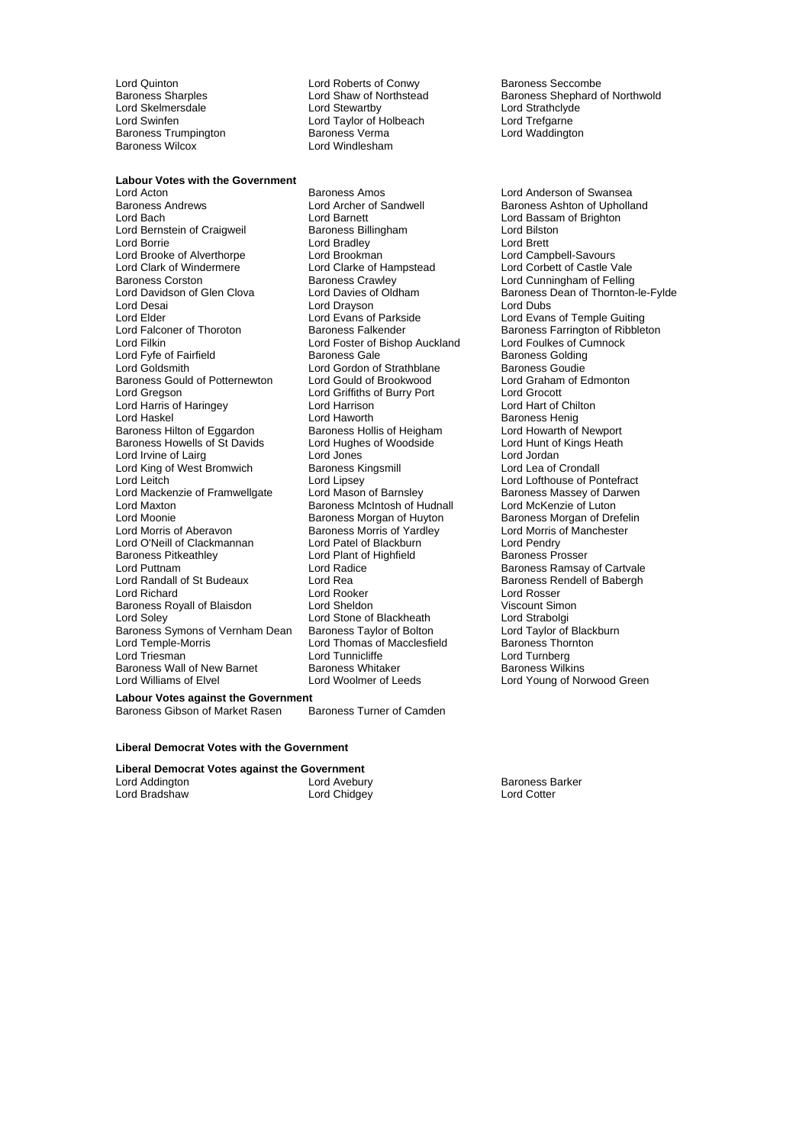Baroness Trumpington<br>Baroness Wilcox

**Labour Votes with the Government**

Lord Acton Baroness Amos Lord Anderson of Swansea Baroness Andrews **Example 2** Lord Archer of Sandwell **Baroness Ashton of Upholland**<br>
Lord Baroness Ashton of Brighton Lord Bernstein of Craigweil Lord Borrie **Lord Bradley**<br>
Lord Brooke of Alverthorpe **Lord Brookman**<br>
Lord Brooke of Alverthorpe **Lord Brookman** Lord Brooke of Alverthorpe Lord Brookman<br>
Lord Clark of Windermere Lord Clarke of Hampstead Lord Clark of Windermere Lord Clarke of Hampstead Lord Corbett of Castle Vale Baroness Corston **Baroness Crawley Corporation** Lord Cunningham of Felling<br>
Lord Davidson of Glen Clova Lord Davies of Oldham **Baroness Dean of Thornton-**Lord Davidson of Glen Clova Lord Davies of Oldham Baroness Dean of Thornton-le-Fylde<br>Lord Desain Lord Dravson Lord Dubs Lord Desai **Lord Drayson**<br>
Lord Elder **Lord Evans of Parkside** Lord Elder Lord Evans of Parkside Lord Evans of Temple Guiting<br>
Lord Ealconer of Thoroton Baroness Falkender Baroness Farrington of Ribblet Lord Filkin Lord Foster of Bishop Auckland Lord Foulkes of Cumnock<br>Lord Fyre of Fairfield Lord Baroness Gale Baroness Golding Lord Fyfe of Fairfield **Baroness Gale** Baroness Golding<br>
Lord Goldsmith **Baroness Couding**<br>
Lord Gordon of Strathblane Baroness Goudie Baroness Gould of Potternewton Lord Gould of Brookwood Lord Graham<br>
Lord Gregson Lord Griffiths of Burry Port Lord Grocott Lord Harris of Haringey **Lord Harrison Lord Harrison**<br>Lord Haskel **Lord Haworth** Baroness Hilton of Eggardon Baroness Hollis of Heigham Lord Howarth of Newport<br>Baroness Howells of St Davids Lord Hughes of Woodside Lord Hunt of Kings Heath Baroness Howells of St Davids Lord Hughes of Woodside Lord Hunt of Lord Hunt of Lord Jordan<br>Lord Irvine of Lairg Karl Lord Jones Heath Heath Heath Heath Heath Heath Heath Heath Heath Heath Heath Heath H Lord Irvine of Lairg **Lord Lord Lord Lord Lord Lord Lord Jones** Lord Jordan Lord Jordan Lord Lord Lea of Crondall Lord King of West Bromwich Baroness Kingsmill Lord Lipsey<br>Lord Leitch **Baronall Lord Crondall** Lord Leitch **Lond Lipsey** Lord Lipsey Lord Lofthouse of Pontefract<br>
Lord Mackenzie of Framwellgate Lord Mason of Barnsley **Baroness Massey of Darwen** Lord Mackenzie of Framwellgate Lord Mason of Barnsley Baroness Massey of Da<br>Lord Maxton Lord McKenzie of Luton Baroness McIntosh of Hudnall Lord McKenzie of Luton Lord Moonie **Baroness Morgan of Huyton** Baroness Morgan of Drefelin<br>
Lord Morris of Aberavon **Baroness Morris of Yardley Baroness Morris of Manchester** Lord O'Neill of Clackmannan Lord Patel of Blackburn Lord Pendry<br>
Baroness Pitkeathley Lord Plant of Highfield Baroness Prosser Lord Puttnam **Lord Radice** Communication Cartvale Exercise Cartvale Baroness Ramsay of Cartvale<br>
Lord Randall of St Budeaux Lord Rea **Communication Carty Carty** Baroness Rendell of Babergh Lord Richard **Communist Communist Communist Communist Communist Communist Communist Communist Communist Communist Communist Communist Communist Communist Communist Communist Communist Communist Communist Communist Communis** Baroness Royall of Blaisdon Lord Sheldon Cord Sheldon Viscount Simon Cord Strabolgi<br>
Lord Stone of Blackheath Lord Strabolgi Baroness Symons of Vernham Dean Baroness Taylor of Bolton Lord Taylor of Black<br>Lord Temple-Morris Lord Thomas of Macclesfield Baroness Thornton Lord Triesman Lord Tunnicliffe Lord Turnberg<br>
Baroness Wall of New Barnet Baroness Whitaker Charless Welkins Baroness Wall of New Barnet Baroness Whitaker<br>Baroness Williams of Flyel<br>Barones Baroness Woolmer of Leeds

Lord Quinton Lord Roberts of Conwy Baroness Seccombe<br>
Baroness Sharples Converts and Shaw of Northstead Baroness Shephard of Northstead Baroness Shephard of Lord Skelmersdale **Lord Stewartby** Lord Strathclyde Lord Strathclyde Lord Strathclyde<br>
Lord Swinfen **Lord Taylor Cord Taylor of Holbeach** Lord Trefgarne Lord Swinfen Lord Taylor of Holbeach Lord Trefgarne<br>
Baroness Trumpington Caroness Verma Lord Waddington Lord Windlesham

> Lord Barnett<br>
> Baroness Billingham<br>
> Lord Bilston<br>
> Lord Bilston Lord Gordon of Strathblane Baroness Goudie<br>
> Lord Gould of Brookwood Lord Graham of Edmonton Lord Griffiths of Burry Port Lord Grocott<br>
> Lord Harrison Cord Lord Hart of Chilton Baroness McIntosh of Hudnall Baroness Morris of Yardley **Baroness Morris of Yardley Corris Corris Corris Corris Corris Corris Corris Corris**<br>Cord Pendry Lord Pendry Lord Plant of Highfield Lord Rea Baroness Rendell of Babergh<br>Lord Rooker Lord Rosser Lord Stone of Blackheath Lord Strabolgi<br>
> Baroness Taylor of Bolton Lord Taylor of Blackburn Lord Thomas of Macclesfield

Lord Shaw of Northstead Baroness Shephard of Northwold<br>
Lord Stewartby<br>
Lord Strathclyde

Baroness Falkender **Baroness Farrington of Ribbleton Baroness Henig<br>Lord Howarth of Newport** Lord Young of Norwood Green

**Labour Votes against the Government<br>Baroness Gibson of Market Rasen Baroness Turner of Camden** Baroness Gibson of Market Rasen

#### **Liberal Democrat Votes with the Government**

### **Liberal Democrat Votes against the Government**

| Lord Addington | Lord Avebury | <b>Baroness Barker</b> |
|----------------|--------------|------------------------|
| Lord Bradshaw  | Lord Chidgey | Lord Cotter            |